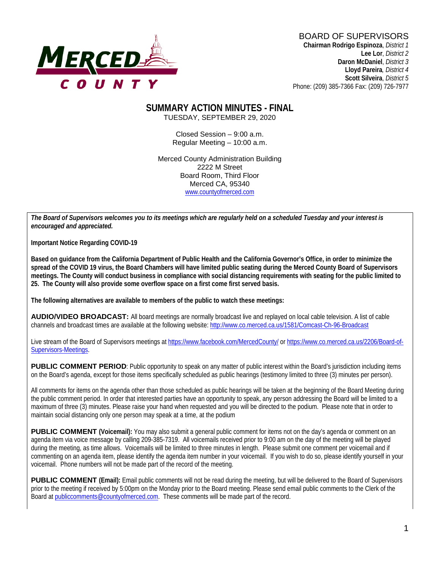

#### BOARD OF SUPERVISORS **Chairman Rodrigo Espinoza**, *District 1*

**Lee Lor**, *District 2*  **Daron McDaniel**, *District 3* **Lloyd Pareira***, District 4*  **Scott Silveira**, *District 5* Phone: (209) 385-7366 Fax: (209) 726-7977

#### **SUMMARY ACTION MINUTES - FINAL** TUESDAY, SEPTEMBER 29, 2020

Closed Session – 9:00 a.m. Regular Meeting – 10:00 a.m.

Merced County Administration Building 2222 M Street Board Room, Third Floor Merced CA, 95340 www.countyofmerced.com

*The Board of Supervisors welcomes you to its meetings which are regularly held on a scheduled Tuesday and your interest is encouraged and appreciated.*

**Important Notice Regarding COVID-19**

**Based on guidance from the California Department of Public Health and the California Governor's Office, in order to minimize the spread of the COVID 19 virus, the Board Chambers will have limited public seating during the Merced County Board of Supervisors meetings. The County will conduct business in compliance with social distancing requirements with seating for the public limited to 25. The County will also provide some overflow space on a first come first served basis.**

**The following alternatives are available to members of the public to watch these meetings:**

**AUDIO/VIDEO BROADCAST:** All board meetings are normally broadcast live and replayed on local cable television. A list of cable channels and broadcast times are available at the following website[: http://www.co.merced.ca.us/1581/Comcast-Ch-96-Broadcast](http://www.co.merced.ca.us/1581/Comcast-Ch-96-Broadcast)

Live stream of the Board of Supervisors meetings at<https://www.facebook.com/MercedCounty/> o[r https://www.co.merced.ca.us/2206/Board-of-](https://www.co.merced.ca.us/2206/Board-of-Supervisors-Meetings)[Supervisors-Meetings.](https://www.co.merced.ca.us/2206/Board-of-Supervisors-Meetings)

**PUBLIC COMMENT PERIOD:** Public opportunity to speak on any matter of public interest within the Board's jurisdiction including items on the Board's agenda, except for those items specifically scheduled as public hearings (testimony limited to three (3) minutes per person).

All comments for items on the agenda other than those scheduled as public hearings will be taken at the beginning of the Board Meeting during the public comment period. In order that interested parties have an opportunity to speak, any person addressing the Board will be limited to a maximum of three (3) minutes. Please raise your hand when requested and you will be directed to the podium. Please note that in order to maintain social distancing only one person may speak at a time, at the podium

**PUBLIC COMMENT (Voicemail):** You may also submit a general public comment for items not on the day's agenda or comment on an agenda item via voice message by calling 209-385-7319. All voicemails received prior to 9:00 am on the day of the meeting will be played during the meeting, as time allows. Voicemails will be limited to three minutes in length. Please submit one comment per voicemail and if commenting on an agenda item, please identify the agenda item number in your voicemail. If you wish to do so, please identify yourself in your voicemail. Phone numbers will not be made part of the record of the meeting.

**PUBLIC COMMENT (Email):** Email public comments will not be read during the meeting, but will be delivered to the Board of Supervisors prior to the meeting if received by 5:00pm on the Monday prior to the Board meeting. Please send email public comments to the Clerk of the Board a[t publiccomments@countyofmerced.com.](mailto:publiccomments@countyofmerced.com) These comments will be made part of the record.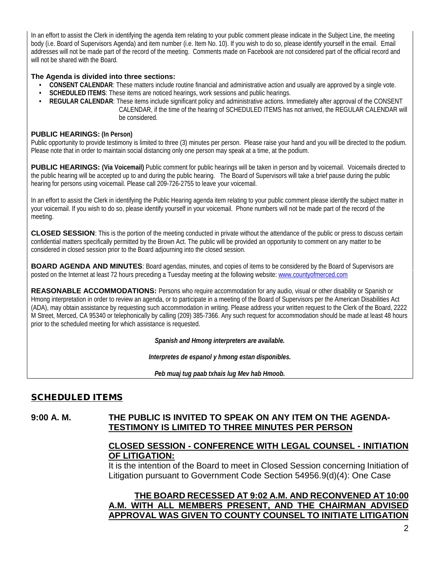In an effort to assist the Clerk in identifying the agenda item relating to your public comment please indicate in the Subject Line, the meeting body (i.e. Board of Supervisors Agenda) and item number (i.e. Item No. 10). If you wish to do so, please identify yourself in the email. Email addresses will not be made part of the record of the meeting. Comments made on Facebook are not considered part of the official record and will not be shared with the Board.

#### **The Agenda is divided into three sections:**

- **CONSENT CALENDAR**: These matters include routine financial and administrative action and usually are approved by a single vote.
- **SCHEDULED ITEMS**: These items are noticed hearings, work sessions and public hearings.
- **REGULAR CALENDAR**: These items include significant policy and administrative actions. Immediately after approval of the CONSENT CALENDAR, if the time of the hearing of SCHEDULED ITEMS has not arrived, the REGULAR CALENDAR will be considered.

#### **PUBLIC HEARINGS: (In Person)**

Public opportunity to provide testimony is limited to three (3) minutes per person. Please raise your hand and you will be directed to the podium. Please note that in order to maintain social distancing only one person may speak at a time, at the podium.

**PUBLIC HEARINGS:** (Via Voicemail) Public comment for public hearings will be taken in person and by voicemail. Voicemails directed to the public hearing will be accepted up to and during the public hearing. The Board of Supervisors will take a brief pause during the public hearing for persons using voicemail. Please call 209-726-2755 to leave your voicemail.

In an effort to assist the Clerk in identifying the Public Hearing agenda item relating to your public comment please identify the subject matter in your voicemail. If you wish to do so, please identify yourself in your voicemail. Phone numbers will not be made part of the record of the meeting.

**CLOSED SESSION**: This is the portion of the meeting conducted in private without the attendance of the public or press to discuss certain confidential matters specifically permitted by the Brown Act. The public will be provided an opportunity to comment on any matter to be considered in closed session prior to the Board adjourning into the closed session.

**BOARD AGENDA AND MINUTES:** Board agendas, minutes, and copies of items to be considered by the Board of Supervisors are posted on the Internet at least 72 hours preceding a Tuesday meeting at the following website: [www.countyofmerced.com](http://www.countyofmerced.com/) 

**REASONABLE ACCOMMODATIONS:** Persons who require accommodation for any audio, visual or other disability or Spanish or Hmong interpretation in order to review an agenda, or to participate in a meeting of the Board of Supervisors per the American Disabilities Act (ADA), may obtain assistance by requesting such accommodation in writing. Please address your written request to the Clerk of the Board, 2222 M Street, Merced, CA 95340 or telephonically by calling (209) 385-7366. Any such request for accommodation should be made at least 48 hours prior to the scheduled meeting for which assistance is requested.

*Spanish and Hmong interpreters are available.*

*Interpretes de espanol y hmong estan disponibles.*

*Peb muaj tug paab txhais lug Mev hab Hmoob.* 

## SCHEDULED ITEMS

### **9:00 A. M. THE PUBLIC IS INVITED TO SPEAK ON ANY ITEM ON THE AGENDA-TESTIMONY IS LIMITED TO THREE MINUTES PER PERSON**

### **CLOSED SESSION - CONFERENCE WITH LEGAL COUNSEL - INITIATION OF LITIGATION:**

It is the intention of the Board to meet in Closed Session concerning Initiation of Litigation pursuant to Government Code Section 54956.9(d)(4): One Case

### **THE BOARD RECESSED AT 9:02 A.M. AND RECONVENED AT 10:00 A.M. WITH ALL MEMBERS PRESENT, AND THE CHAIRMAN ADVISED APPROVAL WAS GIVEN TO COUNTY COUNSEL TO INITIATE LITIGATION**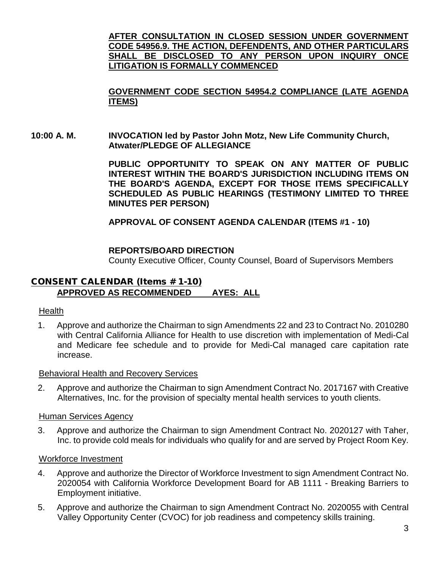**AFTER CONSULTATION IN CLOSED SESSION UNDER GOVERNMENT CODE 54956.9. THE ACTION, DEFENDENTS, AND OTHER PARTICULARS SHALL BE DISCLOSED TO ANY PERSON UPON INQUIRY ONCE LITIGATION IS FORMALLY COMMENCED**

## **GOVERNMENT CODE SECTION 54954.2 COMPLIANCE (LATE AGENDA ITEMS)**

**10:00 A. M. INVOCATION led by Pastor John Motz, New Life Community Church, Atwater/PLEDGE OF ALLEGIANCE**

> **PUBLIC OPPORTUNITY TO SPEAK ON ANY MATTER OF PUBLIC INTEREST WITHIN THE BOARD'S JURISDICTION INCLUDING ITEMS ON THE BOARD'S AGENDA, EXCEPT FOR THOSE ITEMS SPECIFICALLY SCHEDULED AS PUBLIC HEARINGS (TESTIMONY LIMITED TO THREE MINUTES PER PERSON)**

**APPROVAL OF CONSENT AGENDA CALENDAR (ITEMS #1 - 10)**

### **REPORTS/BOARD DIRECTION**

County Executive Officer, County Counsel, Board of Supervisors Members

### CONSENT CALENDAR (Items # 1-10) **APPROVED AS RECOMMENDED AYES: ALL**

### Health

1. Approve and authorize the Chairman to sign Amendments 22 and 23 to Contract No. 2010280 with Central California Alliance for Health to use discretion with implementation of Medi-Cal and Medicare fee schedule and to provide for Medi-Cal managed care capitation rate increase.

#### Behavioral Health and Recovery Services

2. Approve and authorize the Chairman to sign Amendment Contract No. 2017167 with Creative Alternatives, Inc. for the provision of specialty mental health services to youth clients.

#### Human Services Agency

3. Approve and authorize the Chairman to sign Amendment Contract No. 2020127 with Taher, Inc. to provide cold meals for individuals who qualify for and are served by Project Room Key.

### Workforce Investment

- 4. Approve and authorize the Director of Workforce Investment to sign Amendment Contract No. 2020054 with California Workforce Development Board for AB 1111 - Breaking Barriers to Employment initiative.
- 5. Approve and authorize the Chairman to sign Amendment Contract No. 2020055 with Central Valley Opportunity Center (CVOC) for job readiness and competency skills training.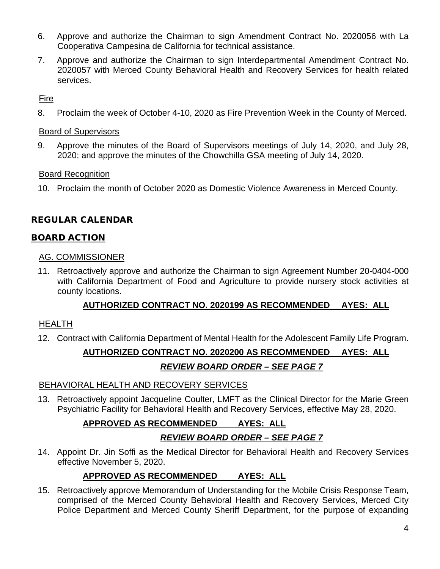- 6. Approve and authorize the Chairman to sign Amendment Contract No. 2020056 with La Cooperativa Campesina de California for technical assistance.
- 7. Approve and authorize the Chairman to sign Interdepartmental Amendment Contract No. 2020057 with Merced County Behavioral Health and Recovery Services for health related services.

## Fire

8. Proclaim the week of October 4-10, 2020 as Fire Prevention Week in the County of Merced.

### Board of Supervisors

9. Approve the minutes of the Board of Supervisors meetings of July 14, 2020, and July 28, 2020; and approve the minutes of the Chowchilla GSA meeting of July 14, 2020.

## Board Recognition

10. Proclaim the month of October 2020 as Domestic Violence Awareness in Merced County.

## REGULAR CALENDAR

## BOARD ACTION

### AG. COMMISSIONER

11. Retroactively approve and authorize the Chairman to sign Agreement Number 20-0404-000 with California Department of Food and Agriculture to provide nursery stock activities at county locations.

## **AUTHORIZED CONTRACT NO. 2020199 AS RECOMMENDED AYES: ALL**

## HEALTH

12. Contract with California Department of Mental Health for the Adolescent Family Life Program.

## **AUTHORIZED CONTRACT NO. 2020200 AS RECOMMENDED AYES: ALL**

## *REVIEW BOARD ORDER – SEE PAGE 7*

## BEHAVIORAL HEALTH AND RECOVERY SERVICES

13. Retroactively appoint Jacqueline Coulter, LMFT as the Clinical Director for the Marie Green Psychiatric Facility for Behavioral Health and Recovery Services, effective May 28, 2020.

## **APPROVED AS RECOMMENDED AYES: ALL**

## *REVIEW BOARD ORDER – SEE PAGE 7*

14. Appoint Dr. Jin Soffi as the Medical Director for Behavioral Health and Recovery Services effective November 5, 2020.

## **APPROVED AS RECOMMENDED AYES: ALL**

15. Retroactively approve Memorandum of Understanding for the Mobile Crisis Response Team, comprised of the Merced County Behavioral Health and Recovery Services, Merced City Police Department and Merced County Sheriff Department, for the purpose of expanding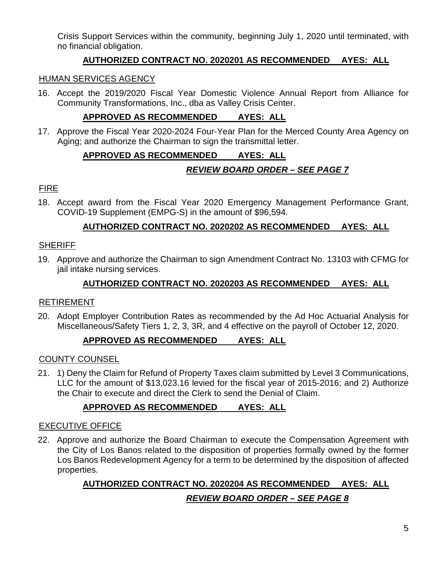Crisis Support Services within the community, beginning July 1, 2020 until terminated, with no financial obligation.

## **AUTHORIZED CONTRACT NO. 2020201 AS RECOMMENDED AYES: ALL**

### HUMAN SERVICES AGENCY

16. Accept the 2019/2020 Fiscal Year Domestic Violence Annual Report from Alliance for Community Transformations, Inc., dba as Valley Crisis Center.

## **APPROVED AS RECOMMENDED AYES: ALL**

17. Approve the Fiscal Year 2020-2024 Four-Year Plan for the Merced County Area Agency on Aging; and authorize the Chairman to sign the transmittal letter.

# **APPROVED AS RECOMMENDED AYES: ALL** *REVIEW BOARD ORDER – SEE PAGE 7*

### FIRE

18. Accept award from the Fiscal Year 2020 Emergency Management Performance Grant, COVID-19 Supplement (EMPG-S) in the amount of \$96,594.

## **AUTHORIZED CONTRACT NO. 2020202 AS RECOMMENDED AYES: ALL**

### **SHERIFF**

19. Approve and authorize the Chairman to sign Amendment Contract No. 13103 with CFMG for jail intake nursing services.

## **AUTHORIZED CONTRACT NO. 2020203 AS RECOMMENDED AYES: ALL**

### RETIREMENT

20. Adopt Employer Contribution Rates as recommended by the Ad Hoc Actuarial Analysis for Miscellaneous/Safety Tiers 1, 2, 3, 3R, and 4 effective on the payroll of October 12, 2020.

## **APPROVED AS RECOMMENDED AYES: ALL**

## COUNTY COUNSEL

21. 1) Deny the Claim for Refund of Property Taxes claim submitted by Level 3 Communications, LLC for the amount of \$13,023.16 levied for the fiscal year of 2015-2016; and 2) Authorize the Chair to execute and direct the Clerk to send the Denial of Claim.

## **APPROVED AS RECOMMENDED AYES: ALL**

## EXECUTIVE OFFICE

22. Approve and authorize the Board Chairman to execute the Compensation Agreement with the City of Los Banos related to the disposition of properties formally owned by the former Los Banos Redevelopment Agency for a term to be determined by the disposition of affected properties.

# **AUTHORIZED CONTRACT NO. 2020204 AS RECOMMENDED AYES: ALL** *REVIEW BOARD ORDER – SEE PAGE 8*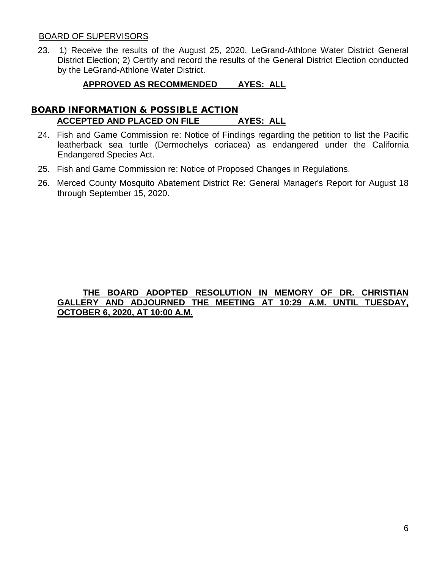#### BOARD OF SUPERVISORS

23. 1) Receive the results of the August 25, 2020, LeGrand-Athlone Water District General District Election; 2) Certify and record the results of the General District Election conducted by the LeGrand-Athlone Water District.

### **APPROVED AS RECOMMENDED AYES: ALL**

### BOARD INFORMATION & POSSIBLE ACTION **ACCEPTED AND PLACED ON FILE AYES: ALL**

- 24. Fish and Game Commission re: Notice of Findings regarding the petition to list the Pacific leatherback sea turtle (Dermochelys coriacea) as endangered under the California Endangered Species Act.
- 25. Fish and Game Commission re: Notice of Proposed Changes in Regulations.
- 26. Merced County Mosquito Abatement District Re: General Manager's Report for August 18 through September 15, 2020.

### **THE BOARD ADOPTED RESOLUTION IN MEMORY OF DR. CHRISTIAN GALLERY AND ADJOURNED THE MEETING AT 10:29 A.M. UNTIL TUESDAY, OCTOBER 6, 2020, AT 10:00 A.M.**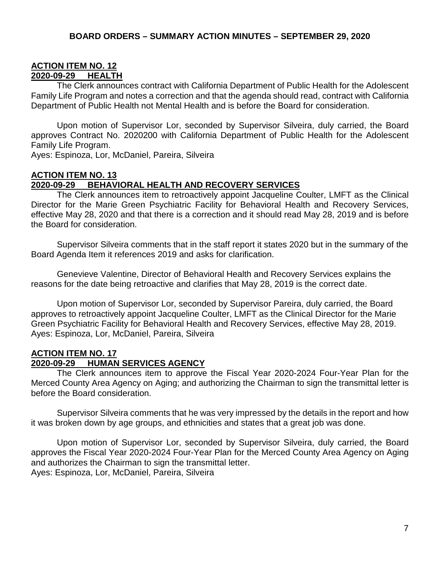## **ACTION ITEM NO. 12 2020-09-29 HEALTH**

The Clerk announces contract with California Department of Public Health for the Adolescent Family Life Program and notes a correction and that the agenda should read, contract with California Department of Public Health not Mental Health and is before the Board for consideration.

Upon motion of Supervisor Lor, seconded by Supervisor Silveira, duly carried, the Board approves Contract No. 2020200 with California Department of Public Health for the Adolescent Family Life Program.

Ayes: Espinoza, Lor, McDaniel, Pareira, Silveira

### **ACTION ITEM NO. 13**

#### **2020-09-29 BEHAVIORAL HEALTH AND RECOVERY SERVICES**

The Clerk announces item to retroactively appoint Jacqueline Coulter, LMFT as the Clinical Director for the Marie Green Psychiatric Facility for Behavioral Health and Recovery Services, effective May 28, 2020 and that there is a correction and it should read May 28, 2019 and is before the Board for consideration.

Supervisor Silveira comments that in the staff report it states 2020 but in the summary of the Board Agenda Item it references 2019 and asks for clarification.

Genevieve Valentine, Director of Behavioral Health and Recovery Services explains the reasons for the date being retroactive and clarifies that May 28, 2019 is the correct date.

Upon motion of Supervisor Lor, seconded by Supervisor Pareira, duly carried, the Board approves to retroactively appoint Jacqueline Coulter, LMFT as the Clinical Director for the Marie Green Psychiatric Facility for Behavioral Health and Recovery Services, effective May 28, 2019. Ayes: Espinoza, Lor, McDaniel, Pareira, Silveira

#### **ACTION ITEM NO. 17 2020-09-29 HUMAN SERVICES AGENCY**

The Clerk announces item to approve the Fiscal Year 2020-2024 Four-Year Plan for the Merced County Area Agency on Aging; and authorizing the Chairman to sign the transmittal letter is before the Board consideration.

Supervisor Silveira comments that he was very impressed by the details in the report and how it was broken down by age groups, and ethnicities and states that a great job was done.

Upon motion of Supervisor Lor, seconded by Supervisor Silveira, duly carried, the Board approves the Fiscal Year 2020-2024 Four-Year Plan for the Merced County Area Agency on Aging and authorizes the Chairman to sign the transmittal letter. Ayes: Espinoza, Lor, McDaniel, Pareira, Silveira